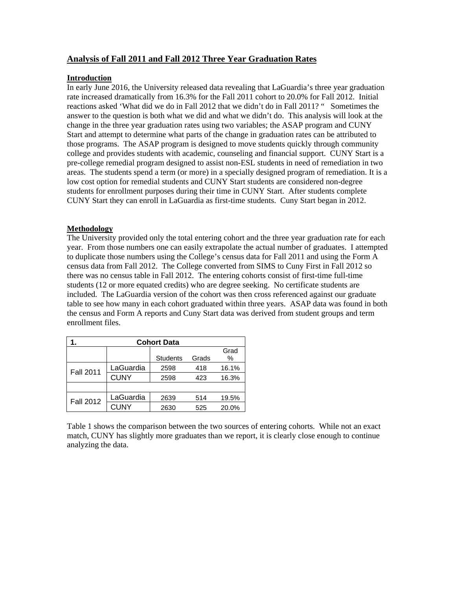# **Analysis of Fall 2011 and Fall 2012 Three Year Graduation Rates**

## **Introduction**

In early June 2016, the University released data revealing that LaGuardia's three year graduation rate increased dramatically from 16.3% for the Fall 2011 cohort to 20.0% for Fall 2012. Initial reactions asked 'What did we do in Fall 2012 that we didn't do in Fall 2011? " Sometimes the answer to the question is both what we did and what we didn't do. This analysis will look at the change in the three year graduation rates using two variables; the ASAP program and CUNY Start and attempt to determine what parts of the change in graduation rates can be attributed to those programs. The ASAP program is designed to move students quickly through community college and provides students with academic, counseling and financial support. CUNY Start is a pre-college remedial program designed to assist non-ESL students in need of remediation in two areas. The students spend a term (or more) in a specially designed program of remediation. It is a low cost option for remedial students and CUNY Start students are considered non-degree students for enrollment purposes during their time in CUNY Start. After students complete CUNY Start they can enroll in LaGuardia as first-time students. Cuny Start began in 2012.

# **Methodology**

The University provided only the total entering cohort and the three year graduation rate for each year. From those numbers one can easily extrapolate the actual number of graduates. I attempted to duplicate those numbers using the College's census data for Fall 2011 and using the Form A census data from Fall 2012. The College converted from SIMS to Cuny First in Fall 2012 so there was no census table in Fall 2012. The entering cohorts consist of first-time full-time students (12 or more equated credits) who are degree seeking. No certificate students are included. The LaGuardia version of the cohort was then cross referenced against our graduate table to see how many in each cohort graduated within three years. ASAP data was found in both the census and Form A reports and Cuny Start data was derived from student groups and term enrollment files.

| <b>Cohort Data</b> |             |                 |       |       |  |  |  |
|--------------------|-------------|-----------------|-------|-------|--|--|--|
|                    |             |                 |       | Grad  |  |  |  |
|                    |             | <b>Students</b> | Grads | %     |  |  |  |
| <b>Fall 2011</b>   | LaGuardia   | 2598            | 418   | 16.1% |  |  |  |
|                    | <b>CUNY</b> | 2598            | 423   | 16.3% |  |  |  |
|                    |             |                 |       |       |  |  |  |
| <b>Fall 2012</b>   | LaGuardia   | 2639            | 514   | 19.5% |  |  |  |
|                    | <b>CUNY</b> | 2630            | 525   | 20.0% |  |  |  |

Table 1 shows the comparison between the two sources of entering cohorts. While not an exact match, CUNY has slightly more graduates than we report, it is clearly close enough to continue analyzing the data.